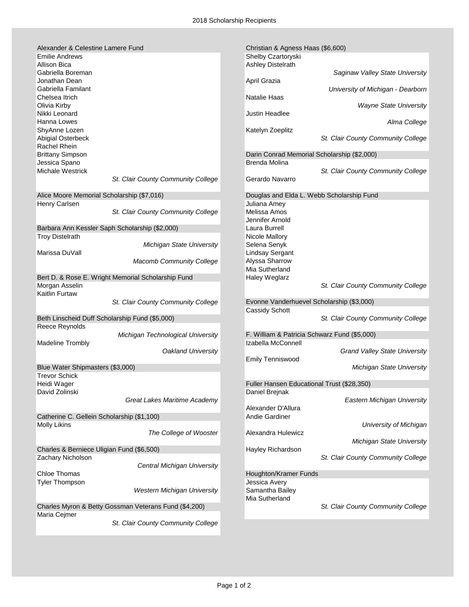| Alexander & Celestine Lamere Fund                     | Christian & Agness Haas (\$6,600)            |
|-------------------------------------------------------|----------------------------------------------|
| <b>Emilie Andrews</b>                                 | Shelby Czartoryski                           |
| <b>Allison Bica</b>                                   | <b>Ashley Distelrath</b>                     |
| Gabriella Boreman                                     | Saginaw Valley State University              |
| Jonathan Dean                                         | April Grazia                                 |
| Gabriella Familant                                    | University of Michigan - Dearborn            |
|                                                       |                                              |
| Chelsea Itrich                                        | <b>Natalie Haas</b>                          |
| Olivia Kirby                                          | <b>Wayne State University</b>                |
| Nikki Leonard                                         | Justin Headlee                               |
| Hanna Lowes                                           | Alma College                                 |
| ShyAnne Lozen                                         | Katelyn Zoeplitz                             |
| Abigial Osterbeck                                     | St. Clair County Community College           |
| Rachel Rhein                                          |                                              |
| <b>Brittany Simpson</b>                               | Darin Conrad Memorial Scholarship (\$2,000)  |
| Jessica Spano                                         | Brenda Molina                                |
| Michale Westrick                                      | St. Clair County Community College           |
|                                                       |                                              |
| St. Clair County Community College                    | Gerardo Navarro                              |
|                                                       |                                              |
| Alice Moore Memorial Scholarship (\$7,016)            | Douglas and Elda L. Webb Scholarship Fund    |
| Henry Carlsen                                         | Juliana Amey                                 |
| St. Clair County Community College                    | Melissa Amos                                 |
|                                                       | Jennifer Arnold                              |
| Barbara Ann Kessler Saph Scholarship (\$2,000)        | Laura Burrell                                |
| <b>Troy Distelrath</b>                                | Nicole Mallory                               |
| Michigan State University                             | Selena Senyk                                 |
| Marissa DuVall                                        | <b>Lindsay Sergant</b>                       |
|                                                       |                                              |
| Macomb Community College                              | Alyssa Sharrow                               |
|                                                       | Mia Sutherland                               |
| Bert D. & Rose E. Wright Memorial Scholarship Fund    | Haley Weglarz                                |
| Morgan Asselin                                        | St. Clair County Community College           |
| Kaitlin Furtaw                                        |                                              |
| St. Clair County Community College                    | Evonne Vanderhuevel Scholarship (\$3,000)    |
|                                                       | <b>Cassidy Schott</b>                        |
| Beth Linscheid Duff Scholarship Fund (\$5,000)        | St. Clair County Community College           |
| Reece Reynolds                                        |                                              |
| Michigan Technological University                     | F. William & Patricia Schwarz Fund (\$5,000) |
| <b>Madeline Trombly</b>                               | Izabella McConnell                           |
| <b>Oakland University</b>                             | <b>Grand Valley State University</b>         |
|                                                       |                                              |
|                                                       | <b>Emily Tenniswood</b>                      |
| Blue Water Shipmasters (\$3,000)                      | Michigan State University                    |
| <b>Trevor Schick</b>                                  |                                              |
| Heidi Wager                                           | Fuller Hansen Educational Trust (\$28,350)   |
| David Zolinski                                        | Daniel Brejnak                               |
| Great Lakes Maritime Academy                          | <b>Eastern Michigan University</b>           |
|                                                       | Alexander D'Allura                           |
| Catherine C. Gellein Scholarship (\$1,100)            | Andie Gardiner                               |
| Molly Likins                                          | University of Michigan                       |
| The College of Wooster                                | Alexandra Hulewicz                           |
|                                                       | <b>Michigan State University</b>             |
| Charles & Berniece Uligian Fund (\$6,500)             | Hayley Richardson                            |
| Zachary Nicholson                                     | St. Clair County Community College           |
| Central Michigan University                           |                                              |
|                                                       |                                              |
| <b>Chloe Thomas</b>                                   | Houghton/Kramer Funds                        |
| <b>Tyler Thompson</b>                                 | Jessica Avery                                |
| <b>Western Michigan University</b>                    | Samantha Bailey                              |
|                                                       | Mia Sutherland                               |
| Charles Myron & Betty Gossman Veterans Fund (\$4,200) | St. Clair County Community College           |
| Maria Cejmer                                          |                                              |
| St. Clair County Community College                    |                                              |